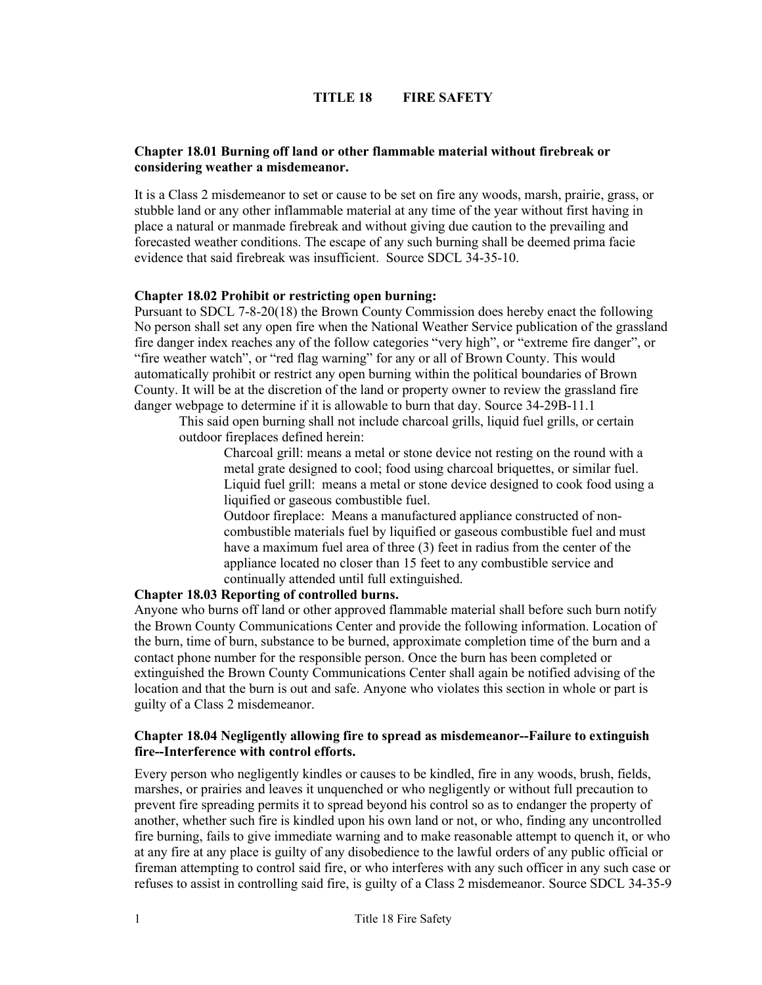# **TITLE 18 FIRE SAFETY**

# **Chapter 18.01 Burning off land or other flammable material without firebreak or considering weather a misdemeanor.**

It is a Class 2 misdemeanor to set or cause to be set on fire any woods, marsh, prairie, grass, or stubble land or any other inflammable material at any time of the year without first having in place a natural or manmade firebreak and without giving due caution to the prevailing and forecasted weather conditions. The escape of any such burning shall be deemed prima facie evidence that said firebreak was insufficient. Source SDCL 34-35-10.

#### **Chapter 18.02 Prohibit or restricting open burning:**

Pursuant to SDCL 7-8-20(18) the Brown County Commission does hereby enact the following No person shall set any open fire when the National Weather Service publication of the grassland fire danger index reaches any of the follow categories "very high", or "extreme fire danger", or "fire weather watch", or "red flag warning" for any or all of Brown County. This would automatically prohibit or restrict any open burning within the political boundaries of Brown County. It will be at the discretion of the land or property owner to review the grassland fire danger webpage to determine if it is allowable to burn that day. Source 34-29B-11.1

This said open burning shall not include charcoal grills, liquid fuel grills, or certain outdoor fireplaces defined herein:

Charcoal grill: means a metal or stone device not resting on the round with a metal grate designed to cool; food using charcoal briquettes, or similar fuel. Liquid fuel grill: means a metal or stone device designed to cook food using a liquified or gaseous combustible fuel.

Outdoor fireplace: Means a manufactured appliance constructed of noncombustible materials fuel by liquified or gaseous combustible fuel and must have a maximum fuel area of three (3) feet in radius from the center of the appliance located no closer than 15 feet to any combustible service and continually attended until full extinguished.

# **Chapter 18.03 Reporting of controlled burns.**

Anyone who burns off land or other approved flammable material shall before such burn notify the Brown County Communications Center and provide the following information. Location of the burn, time of burn, substance to be burned, approximate completion time of the burn and a contact phone number for the responsible person. Once the burn has been completed or extinguished the Brown County Communications Center shall again be notified advising of the location and that the burn is out and safe. Anyone who violates this section in whole or part is guilty of a Class 2 misdemeanor.

#### **Chapter 18.04 Negligently allowing fire to spread as misdemeanor--Failure to extinguish fire--Interference with control efforts.**

Every person who negligently kindles or causes to be kindled, fire in any woods, brush, fields, marshes, or prairies and leaves it unquenched or who negligently or without full precaution to prevent fire spreading permits it to spread beyond his control so as to endanger the property of another, whether such fire is kindled upon his own land or not, or who, finding any uncontrolled fire burning, fails to give immediate warning and to make reasonable attempt to quench it, or who at any fire at any place is guilty of any disobedience to the lawful orders of any public official or fireman attempting to control said fire, or who interferes with any such officer in any such case or refuses to assist in controlling said fire, is guilty of a Class 2 misdemeanor. Source SDCL 34-35-9